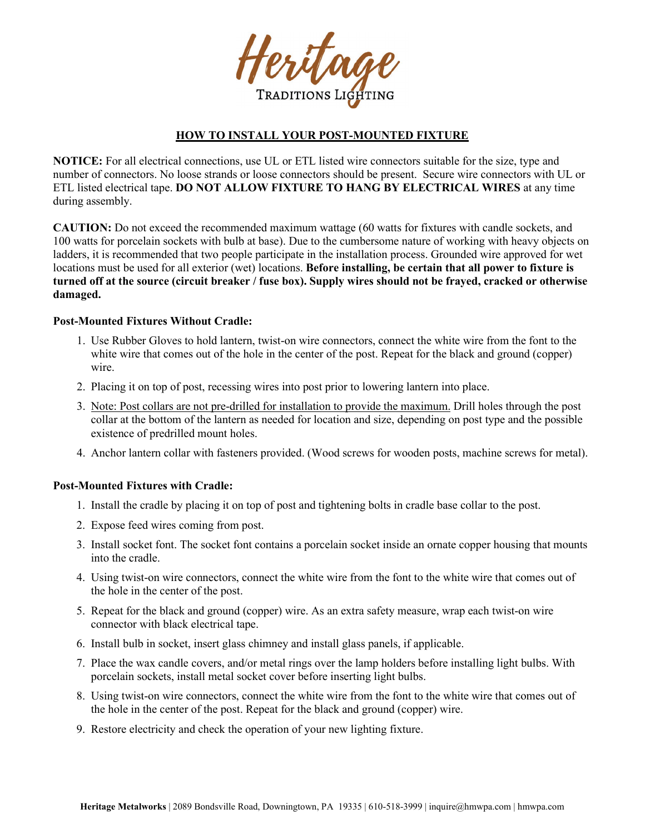Heritage **TRADITIONS LIG** 

# **HOW TO INSTALL YOUR POST-MOUNTED FIXTURE**

**NOTICE:** For all electrical connections, use UL or ETL listed wire connectors suitable for the size, type and number of connectors. No loose strands or loose connectors should be present. Secure wire connectors with UL or ETL listed electrical tape. **DO NOT ALLOW FIXTURE TO HANG BY ELECTRICAL WIRES** at any time during assembly.

**CAUTION:** Do not exceed the recommended maximum wattage (60 watts for fixtures with candle sockets, and 100 watts for porcelain sockets with bulb at base). Due to the cumbersome nature of working with heavy objects on ladders, it is recommended that two people participate in the installation process. Grounded wire approved for wet locations must be used for all exterior (wet) locations. **Before installing, be certain that all power to fixture is turned off at the source (circuit breaker / fuse box). Supply wires should not be frayed, cracked or otherwise damaged.**

## **Post-Mounted Fixtures Without Cradle:**

- 1. Use Rubber Gloves to hold lantern, twist-on wire connectors, connect the white wire from the font to the white wire that comes out of the hole in the center of the post. Repeat for the black and ground (copper) wire.
- 2. Placing it on top of post, recessing wires into post prior to lowering lantern into place.
- 3. Note: Post collars are not pre-drilled for installation to provide the maximum. Drill holes through the post collar at the bottom of the lantern as needed for location and size, depending on post type and the possible existence of predrilled mount holes.
- 4. Anchor lantern collar with fasteners provided. (Wood screws for wooden posts, machine screws for metal).

## **Post-Mounted Fixtures with Cradle:**

- 1. Install the cradle by placing it on top of post and tightening bolts in cradle base collar to the post.
- 2. Expose feed wires coming from post.
- 3. Install socket font. The socket font contains a porcelain socket inside an ornate copper housing that mounts into the cradle.
- 4. Using twist-on wire connectors, connect the white wire from the font to the white wire that comes out of the hole in the center of the post.
- 5. Repeat for the black and ground (copper) wire. As an extra safety measure, wrap each twist-on wire connector with black electrical tape.
- 6. Install bulb in socket, insert glass chimney and install glass panels, if applicable.
- 7. Place the wax candle covers, and/or metal rings over the lamp holders before installing light bulbs. With porcelain sockets, install metal socket cover before inserting light bulbs.
- 8. Using twist-on wire connectors, connect the white wire from the font to the white wire that comes out of the hole in the center of the post. Repeat for the black and ground (copper) wire.
- 9. Restore electricity and check the operation of your new lighting fixture.